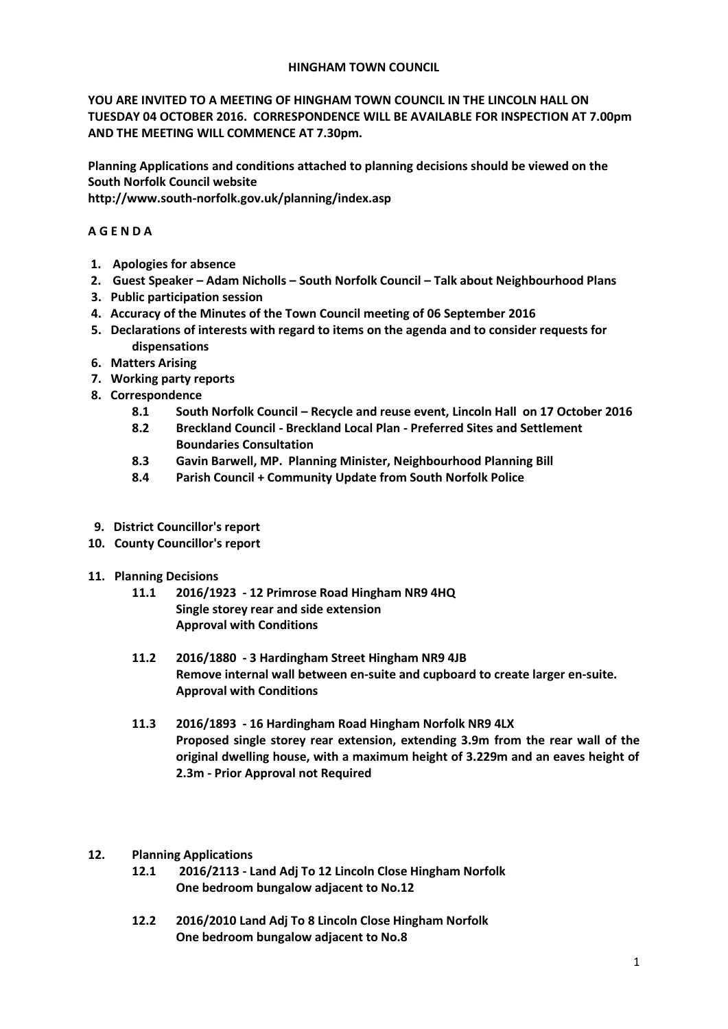## **HINGHAM TOWN COUNCIL**

**YOU ARE INVITED TO A MEETING OF HINGHAM TOWN COUNCIL IN THE LINCOLN HALL ON TUESDAY 04 OCTOBER 2016. CORRESPONDENCE WILL BE AVAILABLE FOR INSPECTION AT 7.00pm AND THE MEETING WILL COMMENCE AT 7.30pm.** 

**Planning Applications and conditions attached to planning decisions should be viewed on the South Norfolk Council website** 

**http://www.south-norfolk.gov.uk/planning/index.asp**

# **A G E N D A**

- **1. Apologies for absence**
- **2. Guest Speaker – Adam Nicholls – South Norfolk Council – Talk about Neighbourhood Plans**
- **3. Public participation session**
- **4. Accuracy of the Minutes of the Town Council meeting of 06 September 2016**
- **5. Declarations of interests with regard to items on the agenda and to consider requests for dispensations**
- **6. Matters Arising**
- **7. Working party reports**
- **8. Correspondence** 
	- **8.1 South Norfolk Council – Recycle and reuse event, Lincoln Hall on 17 October 2016**
	- **8.2 Breckland Council - Breckland Local Plan - Preferred Sites and Settlement Boundaries Consultation**
	- **8.3 Gavin Barwell, MP. Planning Minister, Neighbourhood Planning Bill**
	- **8.4 Parish Council + Community Update from South Norfolk Police**
- **9. District Councillor's report**
- **10. County Councillor's report**
- **11. Planning Decisions**
	- **11.1 2016/1923 - 12 Primrose Road Hingham NR9 4HQ Single storey rear and side extension Approval with Conditions**
	- **11.2 2016/1880 - 3 Hardingham Street Hingham NR9 4JB Remove internal wall between en-suite and cupboard to create larger en-suite. Approval with Conditions**
	- **11.3 2016/1893 - 16 Hardingham Road Hingham Norfolk NR9 4LX Proposed single storey rear extension, extending 3.9m from the rear wall of the original dwelling house, with a maximum height of 3.229m and an eaves height of 2.3m - Prior Approval not Required**

## **12. Planning Applications**

- **12.1 2016/2113 - Land Adj To 12 Lincoln Close Hingham Norfolk One bedroom bungalow adjacent to No.12**
- **12.2 2016/2010 Land Adj To 8 Lincoln Close Hingham Norfolk One bedroom bungalow adjacent to No.8**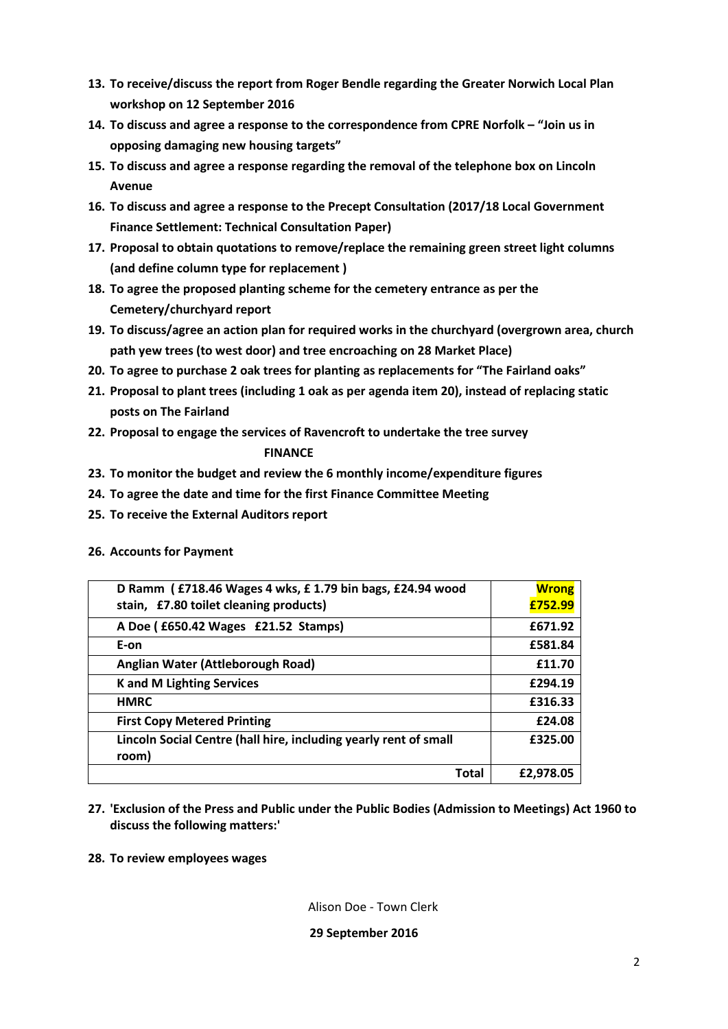- **13. To receive/discuss the report from Roger Bendle regarding the Greater Norwich Local Plan workshop on 12 September 2016**
- **14. To discuss and agree a response to the correspondence from CPRE Norfolk – "Join us in opposing damaging new housing targets"**
- **15. To discuss and agree a response regarding the removal of the telephone box on Lincoln Avenue**
- **16. To discuss and agree a response to the Precept Consultation (2017/18 Local Government Finance Settlement: Technical Consultation Paper)**
- **17. Proposal to obtain quotations to remove/replace the remaining green street light columns (and define column type for replacement )**
- **18. To agree the proposed planting scheme for the cemetery entrance as per the Cemetery/churchyard report**
- **19. To discuss/agree an action plan for required works in the churchyard (overgrown area, church path yew trees (to west door) and tree encroaching on 28 Market Place)**
- **20. To agree to purchase 2 oak trees for planting as replacements for "The Fairland oaks"**
- **21. Proposal to plant trees (including 1 oak as per agenda item 20), instead of replacing static posts on The Fairland**
- **22. Proposal to engage the services of Ravencroft to undertake the tree survey FINANCE**
- **23. To monitor the budget and review the 6 monthly income/expenditure figures**
- **24. To agree the date and time for the first Finance Committee Meeting**
- **25. To receive the External Auditors report**

# **26. Accounts for Payment**

| D Ramm (£718.46 Wages 4 wks, £1.79 bin bags, £24.94 wood                  | <b>Wrong</b> |
|---------------------------------------------------------------------------|--------------|
| stain, £7.80 toilet cleaning products)                                    | £752.99      |
| A Doe (£650.42 Wages £21.52 Stamps)                                       | £671.92      |
| E-on                                                                      | £581.84      |
| Anglian Water (Attleborough Road)                                         | £11.70       |
| <b>K</b> and M Lighting Services                                          | £294.19      |
| <b>HMRC</b>                                                               | £316.33      |
| <b>First Copy Metered Printing</b>                                        | £24.08       |
| Lincoln Social Centre (hall hire, including yearly rent of small<br>room) | £325.00      |
| Total                                                                     | £2,978.05    |

- **27. 'Exclusion of the Press and Public under the Public Bodies (Admission to Meetings) Act 1960 to discuss the following matters:'**
- **28. To review employees wages**

Alison Doe - Town Clerk

## **29 September 2016**